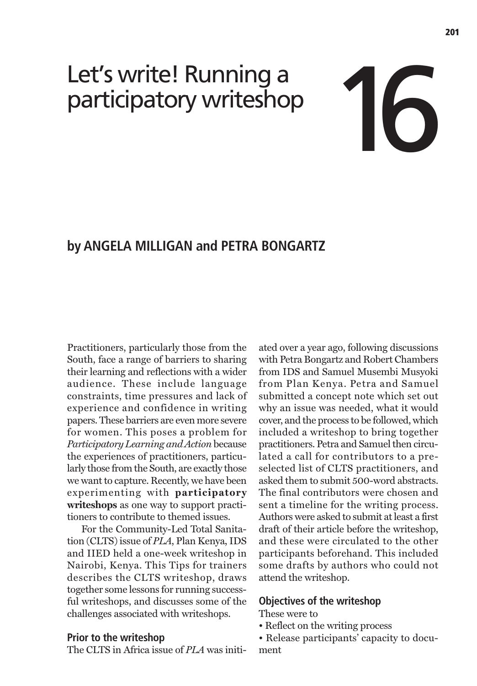# Let's write! Running a participatory writeshop 16

# **by ANGELA MILLIGAN and PETRA BONGARTZ**

Practitioners, particularly those from the South, face a range of barriers to sharing their learning and reflections with a wider audience. These include language constraints, time pressures and lack of experience and confidence in writing papers. These barriers are even more severe for women. This poses a problem for *Participatory Learning and Action* because the experiences of practitioners, particularly those from the South, are exactly those we want to capture. Recently, we have been experimenting with **participatory writeshops** as one way to support practitioners to contribute to themed issues.

For the Community-Led Total Sanitation (CLTS) issue of *PLA*, Plan Kenya, IDS and IIED held a one-week writeshop in Nairobi, Kenya. This Tips for trainers describes the CLTS writeshop, draws together some lessons for running successful writeshops, and discusses some of the challenges associated with writeshops.

# **Prior to the writeshop**

The CLTS in Africa issue of *PLA* was initi-

ated over a year ago, following discussions with Petra Bongartz and Robert Chambers from IDS and Samuel Musembi Musyoki from Plan Kenya. Petra and Samuel submitted a concept note which set out why an issue was needed, what it would cover, and the process to be followed, which included a writeshop to bring together practitioners. Petra and Samuel then circulated a call for contributors to a preselected list of CLTS practitioners, and asked them to submit 500-word abstracts. The final contributors were chosen and sent a timeline for the writing process. Authors were asked to submit at least a first draft of their article before the writeshop, and these were circulated to the other participants beforehand. This included some drafts by authors who could not attend the writeshop.

# **Objectives of the writeshop**

#### These were to

- Reflect on the writing process
- Release participants' capacity to document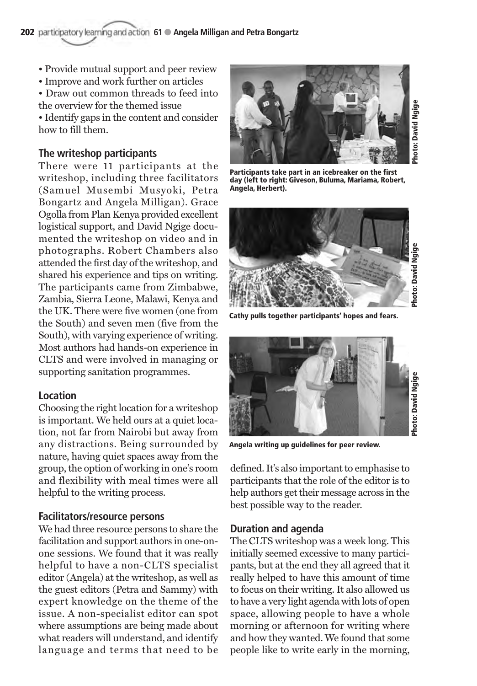- Provide mutual support and peer review
- Improve and work further on articles

• Draw out common threads to feed into the overview for the themed issue

• Identify gaps in the content and consider how to fill them.

# **The writeshop participants**

There were 11 participants at the writeshop, including three facilitators (Samuel Musembi Musyoki, Petra Bongartz and Angela Milligan). Grace Ogolla from Plan Kenya provided excellent logistical support, and David Ngige documented the writeshop on video and in photographs. Robert Chambers also attended the first day of the writeshop, and shared his experience and tips on writing. The participants came from Zimbabwe, Zambia, Sierra Leone, Malawi, Kenya and the UK. There were five women (one from the South) and seven men (five from the South), with varying experience of writing. Most authors had hands-on experience in CLTS and were involved in managing or supporting sanitation programmes.

# **Location**

Choosing the right location for a writeshop is important. We held ours at a quiet location, not far from Nairobi but away from any distractions. Being surrounded by nature, having quiet spaces away from the group, the option of working in one's room and flexibility with meal times were all helpful to the writing process.

# **Facilitators/resource persons**

We had three resource persons to share the facilitation and support authors in one-onone sessions. We found that it was really helpful to have a non-CLTS specialist editor (Angela) at the writeshop, as well as the guest editors (Petra and Sammy) with expert knowledge on the theme of the issue. A non-specialist editor can spot where assumptions are being made about what readers will understand, and identify language and terms that need to be



**Participants take part in an icebreaker on the first day (left to right: Giveson, Buluma, Mariama, Robert, Angela, Herbert).**



**Cathy pulls together participants' hopes and fears.**



**Angela writing up guidelines for peer review.**

defined. It's also important to emphasise to participants that the role of the editor is to help authors get their message across in the best possible way to the reader.

# **Duration and agenda**

The CLTS writeshop was a week long. This initially seemed excessive to many participants, but at the end they all agreed that it really helped to have this amount of time to focus on their writing. It also allowed us to have a very light agenda with lots of open space, allowing people to have a whole morning or afternoon for writing where and how they wanted. We found that some people like to write early in the morning,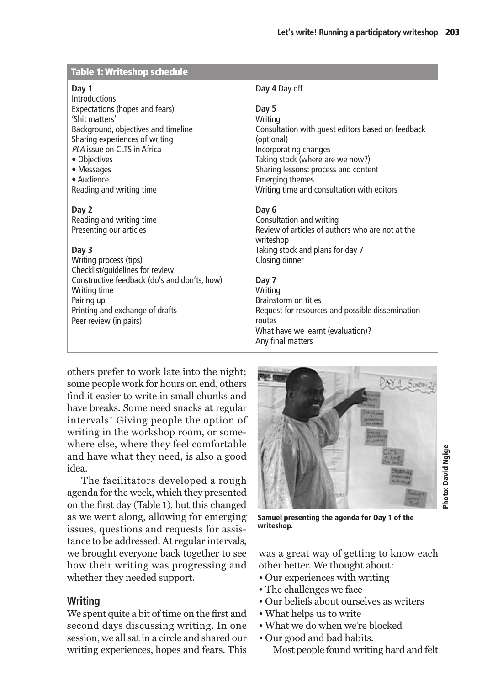# **Table 1: Writeshop schedule**

#### **Day 1**

Introductions Expectations (hopes and fears) 'Shit matters' Background, objectives and timeline Sharing experiences of writing PLA issue on CLTS in Africa

• Objectives

• Messages • Audience Reading and writing time

#### **Day 2**

Reading and writing time Presenting our articles

# **Day 3**

Writing process (tips) Checklist/guidelines for review Constructive feedback (do's and don'ts, how) Writing time Pairing up Printing and exchange of drafts Peer review (in pairs)

# **Day 4** Day off

## **Day 5**

**Writing** Consultation with guest editors based on feedback (optional) Incorporating changes Taking stock (where are we now?) Sharing lessons: process and content Emerging themes Writing time and consultation with editors

# **Day 6**

Consultation and writing Review of articles of authors who are not at the writeshop Taking stock and plans for day 7 Closing dinner

# **Day 7**

Writing Brainstorm on titles Request for resources and possible dissemination routes What have we learnt (evaluation)? Any final matters

others prefer to work late into the night; some people work for hours on end, others find it easier to write in small chunks and have breaks. Some need snacks at regular intervals! Giving people the option of writing in the workshop room, or somewhere else, where they feel comfortable and have what they need, is also a good idea.

The facilitators developed a rough agenda for the week, which they presented on the first day (Table 1), but this changed as we went along, allowing for emerging issues, questions and requests for assistance to be addressed. At regular intervals, we brought everyone back together to see how their writing was progressing and whether they needed support.

# **Writing**

We spent quite a bit of time on the first and second days discussing writing. In one session, we all sat in a circle and shared our writing experiences, hopes and fears. This



**Samuel presenting the agenda for Day 1 of the writeshop.**

was a great way of getting to know each other better. We thought about:

- Our experiences with writing
- The challenges we face
- Our beliefs about ourselves as writers
- What helps us to write
- What we do when we're blocked
- Our good and bad habits.
	- Most people found writing hard and felt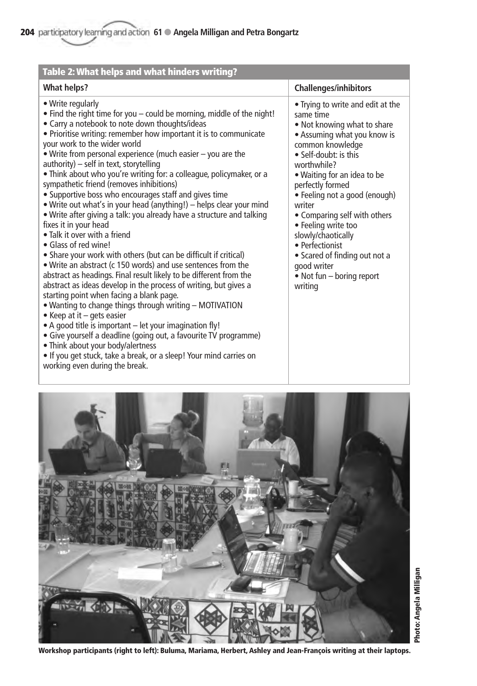| Table 2: What helps and what hinders writing?                                                                                                                                                                                                                                                                                                                                                                                                                                                                                                                                                                                                                                                                                                                                                                                                                                                                                                                                                                                                                                                                                                                                                                                                                                                                                                                                                                                                                             |                                                                                                                                                                                                                                                                                                                                                                                                                                                                  |
|---------------------------------------------------------------------------------------------------------------------------------------------------------------------------------------------------------------------------------------------------------------------------------------------------------------------------------------------------------------------------------------------------------------------------------------------------------------------------------------------------------------------------------------------------------------------------------------------------------------------------------------------------------------------------------------------------------------------------------------------------------------------------------------------------------------------------------------------------------------------------------------------------------------------------------------------------------------------------------------------------------------------------------------------------------------------------------------------------------------------------------------------------------------------------------------------------------------------------------------------------------------------------------------------------------------------------------------------------------------------------------------------------------------------------------------------------------------------------|------------------------------------------------------------------------------------------------------------------------------------------------------------------------------------------------------------------------------------------------------------------------------------------------------------------------------------------------------------------------------------------------------------------------------------------------------------------|
| <b>What helps?</b>                                                                                                                                                                                                                                                                                                                                                                                                                                                                                                                                                                                                                                                                                                                                                                                                                                                                                                                                                                                                                                                                                                                                                                                                                                                                                                                                                                                                                                                        | <b>Challenges/inhibitors</b>                                                                                                                                                                                                                                                                                                                                                                                                                                     |
| • Write regularly<br>• Find the right time for you - could be morning, middle of the night!<br>• Carry a notebook to note down thoughts/ideas<br>• Prioritise writing: remember how important it is to communicate<br>your work to the wider world<br>. Write from personal experience (much easier - you are the<br>authority) - self in text, storytelling<br>• Think about who you're writing for: a colleague, policymaker, or a<br>sympathetic friend (removes inhibitions)<br>• Supportive boss who encourages staff and gives time<br>• Write out what's in your head (anything!) – helps clear your mind<br>. Write after giving a talk: you already have a structure and talking<br>fixes it in your head<br>• Talk it over with a friend<br>• Glass of red wine!<br>• Share your work with others (but can be difficult if critical)<br>. Write an abstract (c 150 words) and use sentences from the<br>abstract as headings. Final result likely to be different from the<br>abstract as ideas develop in the process of writing, but gives a<br>starting point when facing a blank page.<br>. Wanting to change things through writing - MOTIVATION<br>• Keep at it - gets easier<br>• A good title is important - let your imagination fly!<br>• Give yourself a deadline (going out, a favourite TV programme)<br>• Think about your body/alertness<br>. If you get stuck, take a break, or a sleep! Your mind carries on<br>working even during the break. | • Trying to write and edit at the<br>same time<br>. Not knowing what to share<br>• Assuming what you know is<br>common knowledge<br>• Self-doubt: is this<br>worthwhile?<br>. Waiting for an idea to be<br>perfectly formed<br>• Feeling not a good (enough)<br>writer<br>• Comparing self with others<br>• Feeling write too<br>slowly/chaotically<br>• Perfectionist<br>• Scared of finding out not a<br>good writer<br>• Not fun $-$ boring report<br>writing |



**Workshop participants (right to left): Buluma, Mariama, Herbert, Ashley and Jean-François writing at their laptops.**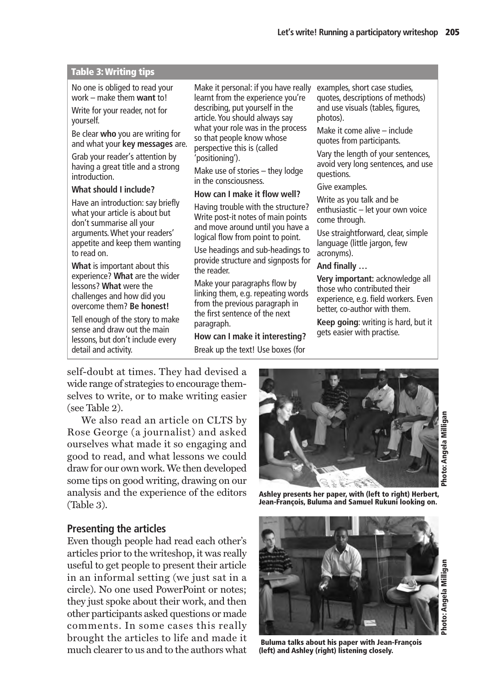# **Table 3: Writing tips**

No one is obliged to read your work – make them **want** to!

Write for your reader, not for yourself.

Be clear **who** you are writing for and what your **key messages** are.

Grab your reader's attention by having a great title and a strong introduction.

# **What should I include?**

Have an introduction: say briefly what your article is about but don't summarise all your arguments. Whet your readers' appetite and keep them wanting to read on.

**What** is important about this experience? **What** are the wider lessons? **What** were the challenges and how did you overcome them? **Be honest!**

Tell enough of the story to make sense and draw out the main lessons, but don't include every detail and activity.

Make it personal: if you have really learnt from the experience you're describing, put yourself in the article. You should always say what your role was in the process so that people know whose perspective this is (called 'positioning').

Make use of stories – they lodge in the consciousness.

## **How can I make it flow well?**

Having trouble with the structure? Write post-it notes of main points and move around until you have a logical flow from point to point.

Use headings and sub-headings to provide structure and signposts for the reader.

Make your paragraphs flow by linking them, e.g. repeating words from the previous paragraph in the first sentence of the next paragraph.

**How can I make it interesting?** Break up the text! Use boxes (for

examples, short case studies, quotes, descriptions of methods) and use visuals (tables, figures, photos).

Make it come alive – include quotes from participants.

Vary the length of your sentences, avoid very long sentences, and use questions.

Give examples.

Write as you talk and be enthusiastic – let your own voice come through.

Use straightforward, clear, simple language (little jargon, few acronyms).

# **And finally …**

**Very important:** acknowledge all those who contributed their experience, e.g. field workers. Even better, co-author with them.

**Keep going**: writing is hard, but it gets easier with practise.

self-doubt at times. They had devised a wide range of strategies to encourage themselves to write, or to make writing easier (see Table 2).

We also read an article on CLTS by Rose George (a journalist) and asked ourselves what made it so engaging and good to read, and what lessons we could draw for our own work. We then developed some tips on good writing, drawing on our analysis and the experience of the editors (Table 3).

# **Presenting the articles**

Even though people had read each other's articles prior to the writeshop, it was really useful to get people to present their article in an informal setting (we just sat in a circle). No one used PowerPoint or notes; they just spoke about their work, and then other participants asked questions or made comments. In some cases this really brought the articles to life and made it much clearer to us and to the authors what



**Photo: Angela Milligan** Photo: Angela Milligan

**Ashley presents her paper, with (left to right) Herbert, Jean-François, Buluma and Samuel Rukuni looking on.**



**Buluma talks about his paper with Jean-François (left) and Ashley (right) listening closely.**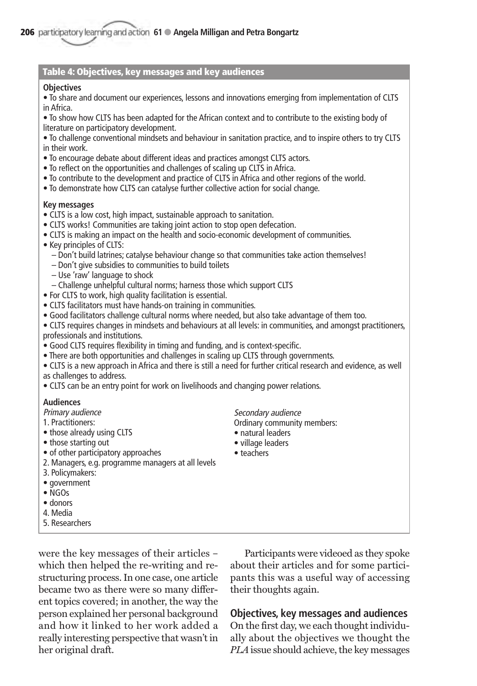#### **Table 4: Objectives, key messages and key audiences**

#### **Objectives**

• To share and document our experiences, lessons and innovations emerging from implementation of CLTS in Africa.

• To show how CLTS has been adapted for the African context and to contribute to the existing body of literature on participatory development.

• To challenge conventional mindsets and behaviour in sanitation practice, and to inspire others to try CLTS in their work.

- To encourage debate about different ideas and practices amongst CLTS actors.
- To reflect on the opportunities and challenges of scaling up CLTS in Africa.
- To contribute to the development and practice of CLTS in Africa and other regions of the world.
- To demonstrate how CLTS can catalyse further collective action for social change.

#### **Key messages**

- CLTS is a low cost, high impact, sustainable approach to sanitation.
- CLTS works! Communities are taking joint action to stop open defecation.
- CLTS is making an impact on the health and socio-economic development of communities.
- Key principles of CLTS:
	- Don't build latrines; catalyse behaviour change so that communities take action themselves!
	- Don't give subsidies to communities to build toilets
	- Use 'raw' language to shock
- Challenge unhelpful cultural norms; harness those which support CLTS
- For CLTS to work, high quality facilitation is essential.
- CLTS facilitators must have hands-on training in communities.
- Good facilitators challenge cultural norms where needed, but also take advantage of them too.

• CLTS requires changes in mindsets and behaviours at all levels: in communities, and amongst practitioners, professionals and institutions.

- Good CLTS requires flexibility in timing and funding, and is context-specific.
- There are both opportunities and challenges in scaling up CLTS through governments.
- CLTS is a new approach in Africa and there is still a need for further critical research and evidence, as well as challenges to address.
- CLTS can be an entry point for work on livelihoods and changing power relations.

#### **Audiences**

- Primary audience
- 1. Practitioners:
- those already using CLTS
- those starting out
- of other participatory approaches
- 2. Managers, e.g. programme managers at all levels
- 3. Policymakers:
- government
- NGOs
- donors
- 4. Media
- 5. Researchers

Secondary audience Ordinary community members:

- natural leaders
- village leaders
- teachers

were the key messages of their articles – which then helped the re-writing and restructuring process. In one case, one article became two as there were so many different topics covered; in another, the way the person explained her personal background and how it linked to her work added a really interesting perspective that wasn't in her original draft.

Participants were videoed as they spoke about their articles and for some participants this was a useful way of accessing their thoughts again.

**Objectives, key messages and audiences**  On the first day, we each thought individually about the objectives we thought the *PLA* issue should achieve, the key messages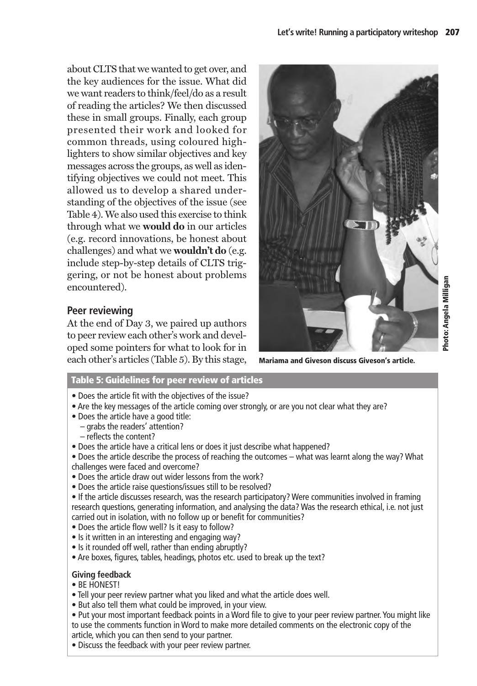about CLTS that we wanted to get over, and the key audiences for the issue. What did we want readers to think/feel/do as a result of reading the articles? We then discussed these in small groups. Finally, each group presented their work and looked for common threads, using coloured highlighters to show similar objectives and key messages across the groups, as well as identifying objectives we could not meet. This allowed us to develop a shared understanding of the objectives of the issue (see Table 4). We also used this exercise to think through what we **would do** in our articles (e.g. record innovations, be honest about challenges) and what we **wouldn't do** (e.g. include step-by-step details of CLTS triggering, or not be honest about problems encountered).

# **Peer reviewing**

At the end of Day 3, we paired up authors to peer review each other's work and developed some pointers for what to look for in each other's articles (Table 5). By this stage, **Mariama and Giveson discuss Giveson's article.**



Photo: Angela Milligan **Photo: Angela Milligan**

# **Table 5: Guidelines for peer review of articles**

- Does the article fit with the objectives of the issue?
- Are the key messages of the article coming over strongly, or are you not clear what they are?
- Does the article have a good title:
	- grabs the readers' attention?
	- reflects the content?
- Does the article have a critical lens or does it just describe what happened?
- Does the article describe the process of reaching the outcomes what was learnt along the way? What challenges were faced and overcome?
- Does the article draw out wider lessons from the work?
- Does the article raise questions/issues still to be resolved?
- If the article discusses research, was the research participatory? Were communities involved in framing research questions, generating information, and analysing the data? Was the research ethical, i.e. not just carried out in isolation, with no follow up or benefit for communities?
- Does the article flow well? Is it easy to follow?
- Is it written in an interesting and engaging way?
- Is it rounded off well, rather than ending abruptly?
- Are boxes, figures, tables, headings, photos etc. used to break up the text?

# **Giving feedback**

- BE HONEST!
- Tell your peer review partner what you liked and what the article does well.
- But also tell them what could be improved, in your view.
- Put your most important feedback points in a Word file to give to your peer review partner. You might like to use the comments function in Word to make more detailed comments on the electronic copy of the article, which you can then send to your partner.
- Discuss the feedback with your peer review partner.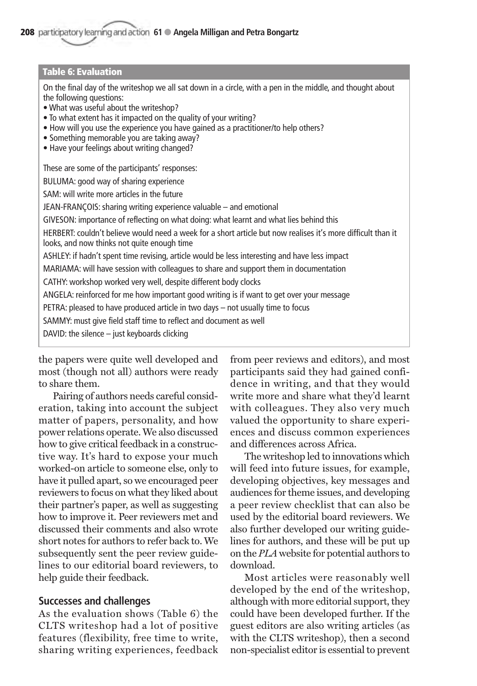## **Table 6: Evaluation**

On the final day of the writeshop we all sat down in a circle, with a pen in the middle, and thought about the following questions:

• What was useful about the writeshop?

- To what extent has it impacted on the quality of your writing?
- How will you use the experience you have gained as a practitioner/to help others?
- Something memorable you are taking away?
- Have your feelings about writing changed?

These are some of the participants' responses:

BULUMA: good way of sharing experience

SAM: will write more articles in the future

JEAN-FRANÇOIS: sharing writing experience valuable – and emotional

GIVESON: importance of reflecting on what doing: what learnt and what lies behind this

HERBERT: couldn't believe would need a week for a short article but now realises it's more difficult than it looks, and now thinks not quite enough time

ASHLEY: if hadn't spent time revising, article would be less interesting and have less impact

MARIAMA: will have session with colleagues to share and support them in documentation

CATHY: workshop worked very well, despite different body clocks

ANGELA: reinforced for me how important good writing is if want to get over your message

PETRA: pleased to have produced article in two days – not usually time to focus

SAMMY: must give field staff time to reflect and document as well

DAVID: the silence – just keyboards clicking

the papers were quite well developed and most (though not all) authors were ready to share them.

Pairing of authors needs careful consideration, taking into account the subject matter of papers, personality, and how power relations operate. We also discussed how to give critical feedback in a constructive way. It's hard to expose your much worked-on article to someone else, only to have it pulled apart, so we encouraged peer reviewers to focus on what they liked about their partner's paper, as well as suggesting how to improve it. Peer reviewers met and discussed their comments and also wrote short notes for authors to refer back to. We subsequently sent the peer review guidelines to our editorial board reviewers, to help guide their feedback.

#### **Successes and challenges**

As the evaluation shows (Table 6) the CLTS writeshop had a lot of positive features (flexibility, free time to write, sharing writing experiences, feedback from peer reviews and editors), and most participants said they had gained confidence in writing, and that they would write more and share what they'd learnt with colleagues. They also very much valued the opportunity to share experiences and discuss common experiences and differences across Africa.

The writeshop led to innovations which will feed into future issues, for example, developing objectives, key messages and audiences for theme issues, and developing a peer review checklist that can also be used by the editorial board reviewers. We also further developed our writing guidelines for authors, and these will be put up on the *PLA* website for potential authors to download.

Most articles were reasonably well developed by the end of the writeshop, although with more editorial support, they could have been developed further. If the guest editors are also writing articles (as with the CLTS writeshop), then a second non-specialist editor is essential to prevent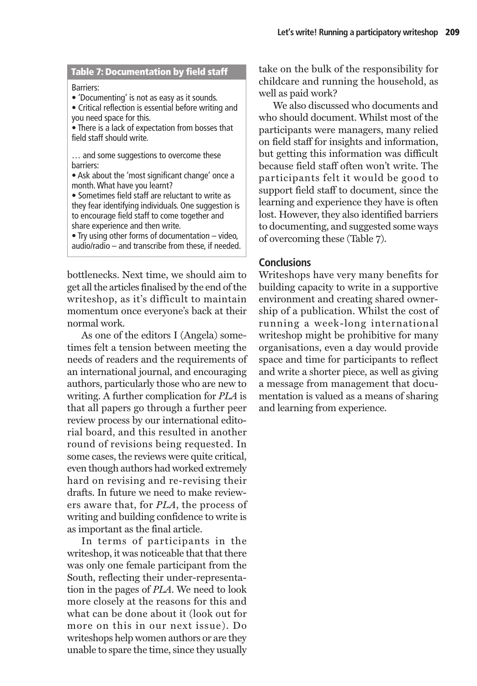#### **Table 7: Documentation by field staff**

Barriers:

• 'Documenting' is not as easy as it sounds.

• Critical reflection is essential before writing and you need space for this.

• There is a lack of expectation from bosses that field staff should write.

... and some suggestions to overcome these barriers:

• Ask about the 'most significant change' once a month. What have you learnt?

• Sometimes field staff are reluctant to write as they fear identifying individuals. One suggestion is to encourage field staff to come together and share experience and then write.

• Try using other forms of documentation – video, audio/radio – and transcribe from these, if needed.

bottlenecks. Next time, we should aim to get all the articles finalised by the end of the writeshop, as it's difficult to maintain momentum once everyone's back at their normal work.

As one of the editors I (Angela) sometimes felt a tension between meeting the needs of readers and the requirements of an international journal, and encouraging authors, particularly those who are new to writing. A further complication for *PLA* is that all papers go through a further peer review process by our international editorial board, and this resulted in another round of revisions being requested. In some cases, the reviews were quite critical, even though authors had worked extremely hard on revising and re-revising their drafts. In future we need to make reviewers aware that, for *PLA*, the process of writing and building confidence to write is as important as the final article.

In terms of participants in the writeshop, it was noticeable that that there was only one female participant from the South, reflecting their under-representation in the pages of *PLA*. We need to look more closely at the reasons for this and what can be done about it (look out for more on this in our next issue). Do writeshops help women authors or are they unable to spare the time, since they usually take on the bulk of the responsibility for childcare and running the household, as well as paid work?

We also discussed who documents and who should document. Whilst most of the participants were managers, many relied on field staff for insights and information, but getting this information was difficult because field staff often won't write. The participants felt it would be good to support field staff to document, since the learning and experience they have is often lost. However, they also identified barriers to documenting, and suggested some ways of overcoming these (Table 7).

# **Conclusions**

Writeshops have very many benefits for building capacity to write in a supportive environment and creating shared ownership of a publication. Whilst the cost of running a week-long international writeshop might be prohibitive for many organisations, even a day would provide space and time for participants to reflect and write a shorter piece, as well as giving a message from management that documentation is valued as a means of sharing and learning from experience.